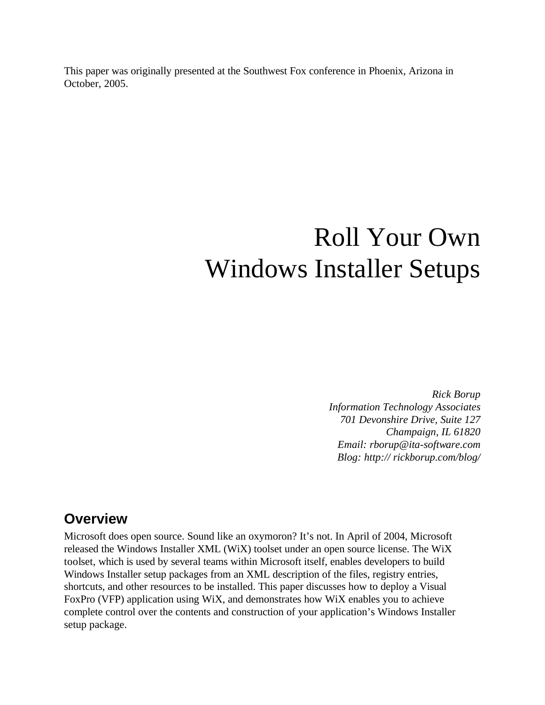This paper was originally presented at the Southwest Fox conference in Phoenix, Arizona in October, 2005.

# Roll Your Own Windows Installer Setups

*Rick Borup Information Technology Associates 701 Devonshire Drive, Suite 127 Champaign, IL 61820 Email: rborup@ita-software.com Blog: http:// rickborup.com/blog/*

### **Overview**

Microsoft does open source. Sound like an oxymoron? It's not. In April of 2004, Microsoft released the Windows Installer XML (WiX) toolset under an open source license. The WiX toolset, which is used by several teams within Microsoft itself, enables developers to build Windows Installer setup packages from an XML description of the files, registry entries, shortcuts, and other resources to be installed. This paper discusses how to deploy a Visual FoxPro (VFP) application using WiX, and demonstrates how WiX enables you to achieve complete control over the contents and construction of your application's Windows Installer setup package.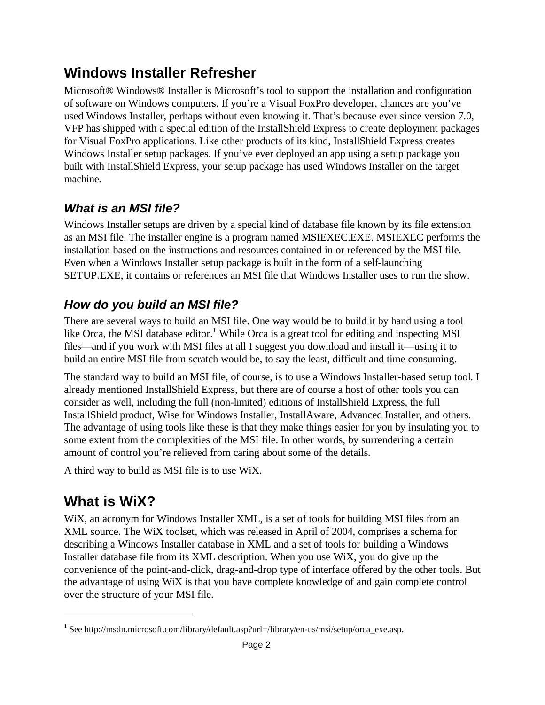# **Windows Installer Refresher**

Microsoft® Windows® Installer is Microsoft's tool to support the installation and configuration of software on Windows computers. If you're a Visual FoxPro developer, [chances](,chances) are you've used Windows Installer, perhaps without even knowing it. That's because ever since version 7.0, VFP has shipped with a special edition of the InstallShield Express to create deployment [packages](mentpackages) for Visual FoxPro applications. Like other products of its kind, InstallShield Express creates Windows Installer setup packages.<If>you've ever deployed an app using a setup package you built with InstallShield Express, your setup package has used Windows Installer on the target machine.

# *What is an MSI file?*

Windows Installer setups are driven by a special kind of database file known by its file extension as an MSI file. The installer engine is a program named MSIEXEC.EXE. MSIEXEC <performs>the installation based on the instructions and resources contained in or referenced by the MSI file. Even when a Windows Installer setup package is built in the form of a self-launching SETUP.EXE, it contains or references an MSI file that Windows Installer uses to run the show.

# *How do you build an MSI file?*

There are several ways to build an MSI file. One way would be to build it by hand using a tool like Orca, the MSI database editor.<sup>1</sup> While Orca is a great tool for editing and inspecting MSI file[s—and](�and) if you work with MSI files at all I suggest you download and install it—using it to build an entire MSI file from scratch would be, to say the least, difficult and time consuming.

The standard way to build an MSI file, of course, is to use a Windows Installer-based setup tool. I already mentioned InstallShield Express, but there are of course a host of other tools you can consider as well, including the full (non-limited) editions of InstallShield Express, the full InstallShield product, Wise for Windows Installer, InstallAware, Advanced Installer, and others. The advantage of using tools like these is that they make things easier for you by insulating you to some extent from the complexities of the MSI file. In other words, by surrendering a certain amount of control you're relieved from caring about some of the details.

A third way to build as MSI file is to use WiX.

# **What is WiX?**

WiX, an acronym for Windows Installer XML, is a set of tools for building MSI files from an XML source. The WiX toolset, which was released in April of 2004, comprises a schema for describing a Windows Installer database in XML and a set of tools for building a Windows Installer database file from its XML description. When you use WiX, you do give up the convenience of the point-and-click, drag-and-drop type of interface offered by the other tools. But the advantage of using WiX is that you have complete knowledge of and gain complete control over the structure of your MSI file.

<sup>&</sup>lt;sup>1</sup> See http://msdn.microsoft.com/library/default.asp?url=/library/en-us/msi/setup/orca\_exe.asp.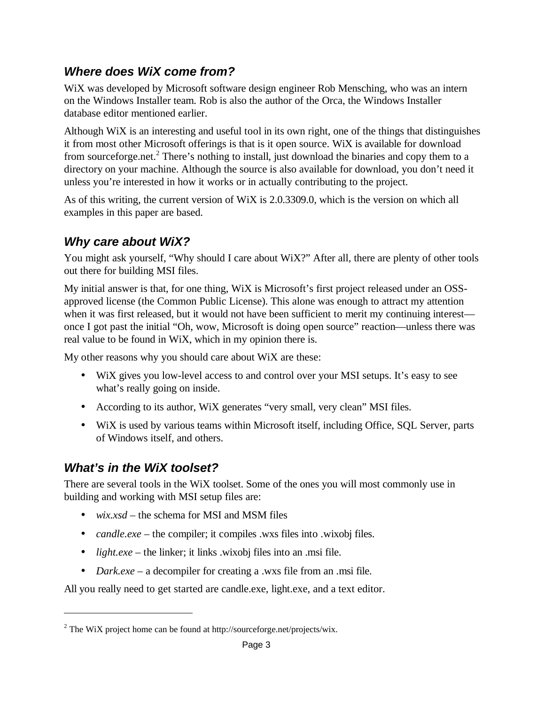### *Where does WiX come from?*

WiX was developed by Microsoft software design engineer Rob Mensching, who was an intern on the Windows Installer team. Rob is also the author of the Orca, the Windows Installer database editor mentioned earlier.

Although WiX is an interesting and useful tool in its own right, one of the things that distinguishes it from most other Microsoft offerings is that is it open source. WiX is available for download from sourceforge.net.<sup>2</sup> There's nothing to install, just download the binaries and copy them to a directory on your machine. Although the source is also available for download, you don't need it unless you're interested in how it works or in actually contributing to the project.

As of this writing, the current version of WiX is 2.0.3309.0, which is the version on which all examples in this paper are based.

### *Why care about WiX?*

You might ask yourself, "Why should I care about WiX?" After all, there are plenty of other tools out there for building MSI files.

My initial answer is that, for one thing, WiX is Microsoft's first project released under an OSSapproved license (the Common Public License). This alone was enough to attract my attention when it was first released, but it would not have been sufficient to merit my continuing interest once I got past the initial "Oh, wow, Microsoft is doing open source" reaction—unless there was real value to be found in WiX, which in my opinion there is.

My other reasons why you should care about WiX are these:

- WiX gives you low-level access to and control over your MSI setups. It's easy to see what's really going on inside.
- According to its author, WiX generates "very small, very clean" MSI files.
- WiX is used by various teams within Microsoft itself, including Office, SQL Server, parts of Windows itself, and others.

### *What's in the WiX toolset?*

There are several tools in the WiX toolset. Some of the ones you will most commonly use in building and working with MSI setup files are:

- *wix.xsd* the schema for MSI and MSM files
- *candle.exe* the compiler; it compiles .wxs files into .wixobj files.
- *light.exe* the linker; it links .wixobj files into an .msi file.
- *Dark.exe* a decompiler for creating a .wxs file from an .msi file.

All you really need to get started are candle.exe, light.exe, and a text editor.

 $2$  The WiX project home can be found at http://sourceforge.net/projects/wix.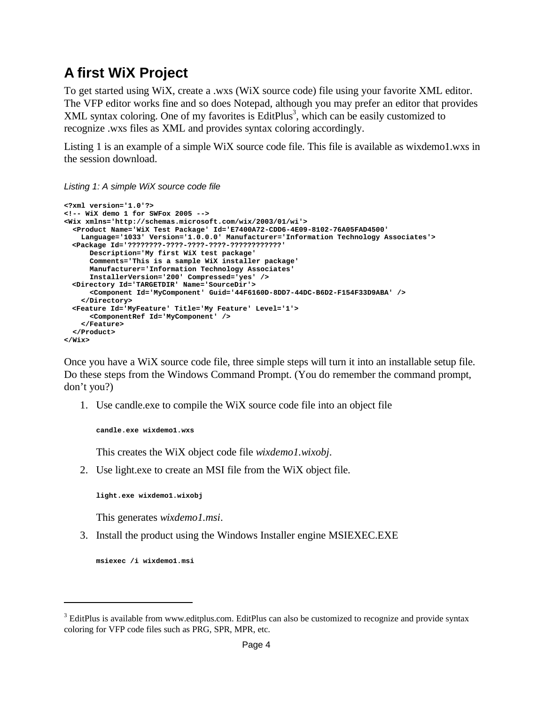# **A first WiX Project**

To get started using WiX, create a .wxs (WiX source code) file using your favorite XML editor. The VFP editor works fine and so does Notepad, although you may prefer an editor that provides XML syntax coloring. One of my favorites is EditPlus<sup>3</sup>, which can be easily customized to recognize .wxs files as XML and provides syntax coloring accordingly.

Listing 1 is an example of a simple WiX source code file. This file is available as wixdemo1.wxs in the session download.

*Listing 1: A simple WiX source code file*

```
<?xml version='1.0'?>
<!-- WiX demo 1 for SWFox 2005 -->
<Wix xmlns='http://schemas.microsoft.com/wix/2003/01/wi'>
  <Product Name='WiX Test Package' Id='E7400A72-CDD6-4E09-8102-76A05FAD4500' 
   Language='1033' Version='1.0.0.0' Manufacturer='Information Technology Associates'>
 <Package Id='????????-????-????-????-????????????'
     Description='My first WiX test package'
     Comments='This is a sample WiX installer package' 
     Manufacturer='Information Technology Associates' 
      InstallerVersion='200' Compressed='yes' />
 <Directory Id='TARGETDIR' Name='SourceDir'>
      <Component Id='MyComponent' Guid='44F6160D-8DD7-44DC-B6D2-F154F33D9ABA' />
    </Directory>
 <Feature Id='MyFeature' Title='My Feature' Level='1'>
      <ComponentRef Id='MyComponent' />
    </Feature>
  </Product>
</Wix>
```
Once you have a WiX source code file, three simple steps will turn it into an installable setup file. Do these steps from the Windows Command Prompt. (You do remember the command prompt, don't you?)

1. Use candle.exe to compile the WiX source code file into an object file

```
candle.exe wixdemo1.wxs
```
This creates the WiX object code file *wixdemo1.wixobj*.

2. Use light.exe to create an MSI file from the WiX object file.

**light.exe wixdemo1.wixobj**

This generates *wixdemo1.msi*.

3. Install the product using the Windows Installer engine MSIEXEC.EXE

**msiexec /i wixdemo1.msi**

<sup>&</sup>lt;sup>3</sup> EditPlus is available from www.editplus.com. EditPlus can also be customized to recognize and provide syntax coloring for VFP code files such as PRG, SPR, MPR, etc.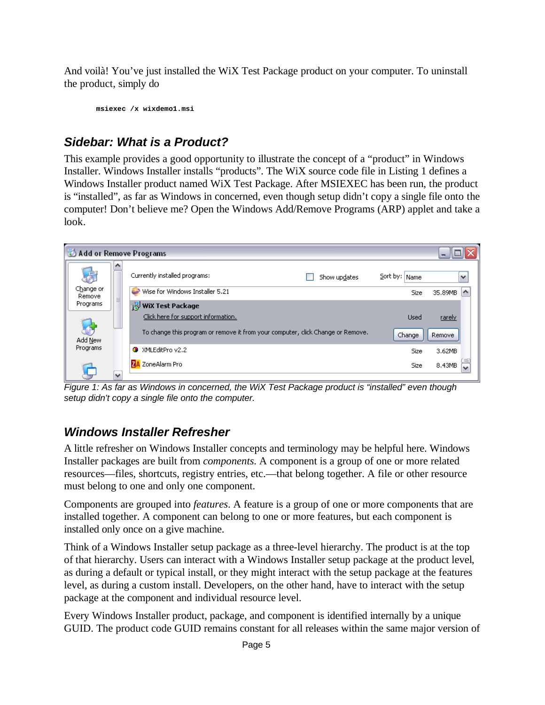And voilà! You've just installed the WiX Test Package product on your computer. To uninstall the product, simply do

**msiexec /x wixdemo1.msi**

# *Sidebar: What is a Product?*

This example provides a good opportunity to illustrate the concept of a "product" in Windows Installer. Windows Installer installs "products". The WiX source code file in Listing 1 defines a Windows Installer product named WiX Test Package. After MSIEXEC has been run, the product is "installed", as far as Windows in concerned, even though setup didn't copy a single file onto the computer! Don't believe me? Open the Windows Add/Remove Programs (ARP) applet and take a look.



*Figure 1: As far as Windows in concerned, the WiX Test Package product is "installed" even though setup didn't copy a single file onto the computer.*

# *Windows Installer Refresher*

A little refresher on Windows Installer concepts and terminology may be helpful here. Windows Installer packages are built from *components*. A component is a group of one or more related resources—files, shortcuts, registry entries, etc.—that belong together. A file or other resource must belong to one and only one component.

Components are grouped into *features*. A feature is a group of one or more components that are installed together. A component can belong to one or more features, but each component is installed only once on a give machine.

Think of a Windows Installer setup package as a three-level hierarchy. The product is at the top of that hierarchy. Users can interact with a Windows Installer setup package at the product level, as during a default or typical install, or they might interact with the setup package at the features level, as during a custom install. Developers, on the other hand, have to interact with the setup package at the component and individual resource level.

Every Windows Installer product, package, and component is identified internally by a unique GUID. The product code GUID remains constant for all releases within the same major version of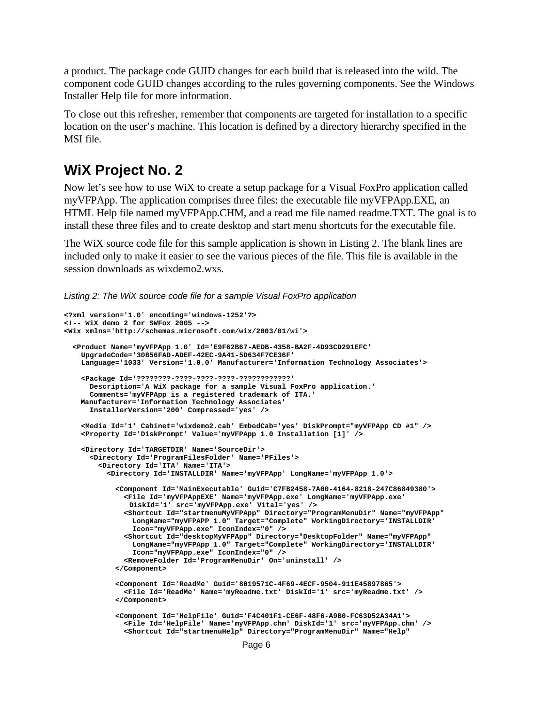a product. The package code GUID changes for each build that is released into the wild. The component code GUID changes according to the rules governing components. See the Windows Installer Help file for more information.

To close out this refresher, remember that components are targeted for installation to a specific location on the user's machine. This location is defined by a directory hierarchy specified in the MSI file.

#### **WiX Project No. 2**

Now let's see how to use WiX to create a setup package for a Visual FoxPro application called myVFPApp. The application comprises three files: the executable file myVFPApp.EXE, an HTML Help file named myVFPApp.CHM, and a read me file named readme.TXT. The goal is to install these three files and to create desktop and start menu shortcuts for the executable file.

The WiX source code file for this sample application is shown in Listing 2. The blank lines are included only to make it easier to see the various pieces of the file. This file is available in the session downloads as wixdemo2.wxs.

*Listing 2: The WiX source code file for a sample Visual FoxPro application*

```
<?xml version='1.0' encoding='windows-1252'?>
<!-- WiX demo 2 for SWFox 2005 -->
<Wix xmlns='http://schemas.microsoft.com/wix/2003/01/wi'>
  <Product Name='myVFPApp 1.0' Id='E9F62B67-AEDB-4358-BA2F-4D93CD291EFC'
   UpgradeCode='30B56FAD-ADEF-42EC-9A41-5D634F7CE36F'
   Language='1033' Version='1.0.0' Manufacturer='Information Technology Associates'>
   <Package Id='????????-????-????-????-????????????'
     Description='A WiX package for a sample Visual FoxPro application.'
     Comments='myVFPApp is a registered trademark of ITA.' 
   Manufacturer='Information Technology Associates'
     InstallerVersion='200' Compressed='yes' />
   <Media Id='1' Cabinet='wixdemo2.cab' EmbedCab='yes' DiskPrompt="myVFPApp CD #1" />
   <Property Id='DiskPrompt' Value='myVFPApp 1.0 Installation [1]' />
   <Directory Id='TARGETDIR' Name='SourceDir'>
      <Directory Id='ProgramFilesFolder' Name='PFiles'>
        <Directory Id='ITA' Name='ITA'>
          <Directory Id='INSTALLDIR' Name='myVFPApp' LongName='myVFPApp 1.0'>
            <Component Id='MainExecutable' Guid='C7FB2458-7A00-4164-8218-247C86849380'>
              <File Id='myVFPAppEXE' Name='myVFPApp.exe' LongName='myVFPApp.exe' 
               DiskId='1' src='myVFPApp.exe' Vital='yes' />
              <Shortcut Id="startmenuMyVFPApp" Directory="ProgramMenuDir" Name="myVFPApp" 
               LongName="myVFPAPP 1.0" Target="Complete" WorkingDirectory='INSTALLDIR'
               Icon="myVFPApp.exe" IconIndex="0" />
              <Shortcut Id="desktopMyVFPApp" Directory="DesktopFolder" Name="myVFPApp"
               LongName="myVFPApp 1.0" Target="Complete" WorkingDirectory='INSTALLDIR'
               Icon="myVFPApp.exe" IconIndex="0" />
              <RemoveFolder Id='ProgramMenuDir' On='uninstall' />
            </Component>
            <Component Id='ReadMe' Guid='8019571C-4F69-4ECF-9504-911E45897865'>
              <File Id='ReadMe' Name='myReadme.txt' DiskId='1' src='myReadme.txt' />
            </Component>
            <Component Id='HelpFile' Guid='F4C401F1-CE6F-48F6-A9B0-FC63D52A34A1'>
              <File Id='HelpFile' Name='myVFPApp.chm' DiskId='1' src='myVFPApp.chm' />
              <Shortcut Id="startmenuHelp" Directory="ProgramMenuDir" Name="Help"
```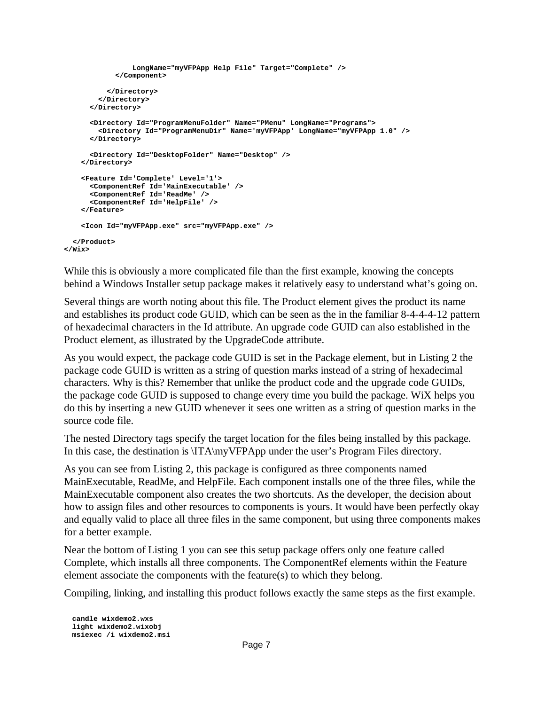```
LongName="myVFPApp Help File" Target="Complete" />
           </Component>
          </Directory>
       </Directory>
     </Directory>
     <Directory Id="ProgramMenuFolder" Name="PMenu" LongName="Programs">
        <Directory Id="ProgramMenuDir" Name='myVFPApp' LongName="myVFPApp 1.0" />
     </Directory>
     <Directory Id="DesktopFolder" Name="Desktop" />
   </Directory>
   <Feature Id='Complete' Level='1'>
     <ComponentRef Id='MainExecutable' />
     <ComponentRef Id='ReadMe' />
     <ComponentRef Id='HelpFile' />
   </Feature>
   <Icon Id="myVFPApp.exe" src="myVFPApp.exe" />
 </Product>
</Wix>
```
While this is obviously a more complicated file than the first example, knowing the concepts behind a Windows Installer setup package makes it relatively easy to understand what's going on.

Several things are worth noting about this file. The Product element gives the product its name and establishes its product code GUID, which can be seen as the in the familiar 8-4-4-4-12 pattern of hexadecimal characters in the Id attribute. An upgrade code GUID can also established in the Product element, as illustrated by the UpgradeCode attribute.

As you would expect, the package code GUID is set in the Package element, but in Listing 2 the package code GUID is written as a string of question marks instead of a string of hexadecimal characters. Why is this? Remember that unlike the product code and the upgrade code GUIDs, the package code GUID is supposed to change every time you build the package. WiX helps you do this by inserting a new GUID whenever it sees one written as a string of question marks in the source code file.

The nested Directory tags specify the target location for the files being installed by this package. In this case, the destination is \ITA\myVFPApp under the user's Program Files directory.

As you can see from Listing 2, this package is configured as three components named MainExecutable, ReadMe, and HelpFile. Each component installs one of the three files, while the MainExecutable component also creates the two shortcuts. As the developer, the decision about how to assign files and other resources to components is yours. It would have been perfectly okay and equally valid to place all three files in the same component, but using three components makes for a better example.

Near the bottom of Listing 1 you can see this setup package offers only one feature called Complete, which installs all three components. The ComponentRef elements within the Feature element associate the components with the feature(s) to which they belong.

Compiling, linking, and installing this product follows exactly the same steps as the first example.

**candle wixdemo2.wxs light wixdemo2.wixobj msiexec /i wixdemo2.msi**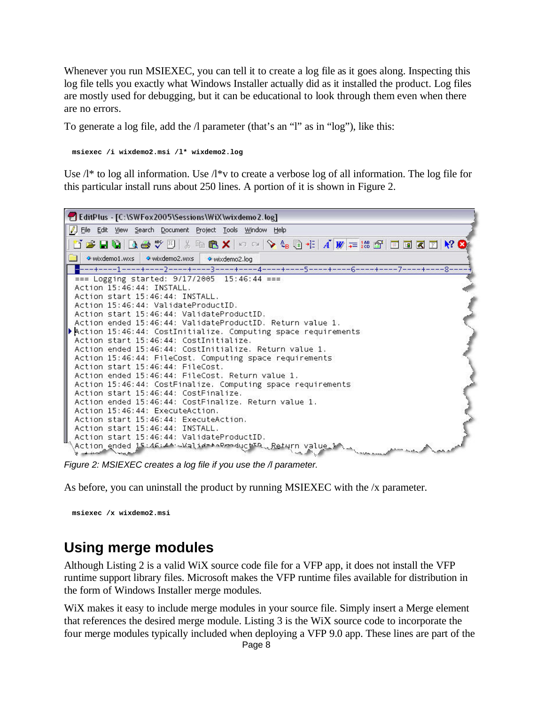Whenever you run MSIEXEC, you can tell it to create a log file as it goes along. Inspecting this log file tells you exactly what Windows Installer actually did as it installed the product. Log files are mostly used for debugging, but it can be educational to look through them even when there are no errors.

To generate a log file, add the /l parameter (that's an "l" as in "log"), like this:

**msiexec /i wixdemo2.msi /l\* wixdemo2.log**

Use  $\Lambda^*$  to log all information. Use  $\Lambda^*$  to create a verbose log of all information. The log file for this particular install runs about 250 lines. A portion of it is shown in Figure 2.



*Figure 2: MSIEXEC creates a log file if you use the /l parameter.*

As before, you can uninstall the product by running MSIEXEC with the /x parameter.

**msiexec /x wixdemo2.msi**

# **Using merge modules**

Although Listing 2 is a valid WiX source code file for a VFP app, it does not install the VFP runtime support library files. Microsoft makes the VFP runtime files available for distribution in the form of Windows Installer merge modules.

WiX makes it easy to include merge modules in your source file. Simply insert a Merge element that references the desired merge module. Listing 3 is the WiX source code to incorporate the four merge modules typically included when deploying a VFP 9.0 app. These lines are part of the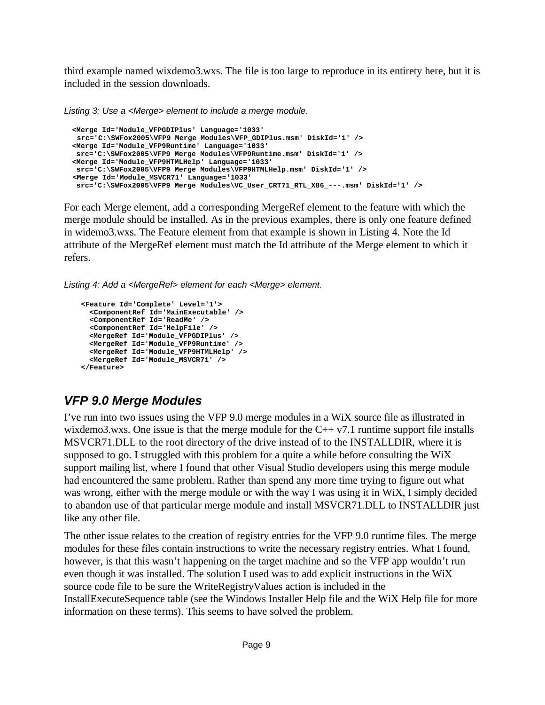third example named wixdemo3.wxs. The file is too large to reproduce in its entirety here, but it is included in the session downloads.

*Listing 3: Use a <Merge> element to include a merge module.*

```
<Merge Id='Module_VFPGDIPlus' Language='1033' 
src='C:\SWFox2005\VFP9 Merge Modules\VFP_GDIPlus.msm' DiskId='1' />
<Merge Id='Module_VFP9Runtime' Language='1033' 
src='C:\SWFox2005\VFP9 Merge Modules\VFP9Runtime.msm' DiskId='1' />
<Merge Id='Module_VFP9HTMLHelp' Language='1033' 
src='C:\SWFox2005\VFP9 Merge Modules\VFP9HTMLHelp.msm' DiskId='1' />
<Merge Id='Module_MSVCR71' Language='1033' 
src='C:\SWFox2005\VFP9 Merge Modules\VC_User_CRT71_RTL_X86_---.msm' DiskId='1' />
```
For each Merge element, add a corresponding MergeRef element to the feature with which the merge module should be installed. As in the previous examples, there is only one feature defined in widemo3.wxs. The Feature element from that example is shown in Listing 4. Note the Id attribute of the MergeRef element must match the Id attribute of the Merge element to which it refers.

*Listing 4: Add a <MergeRef> element for each <Merge> element.* 

```
<Feature Id='Complete' Level='1'>
  <ComponentRef Id='MainExecutable' />
  <ComponentRef Id='ReadMe' />
  <ComponentRef Id='HelpFile' />
 <MergeRef Id='Module_VFPGDIPlus' />
 <MergeRef Id='Module_VFP9Runtime' />
 <MergeRef Id='Module_VFP9HTMLHelp' />
 <MergeRef Id='Module_MSVCR71' />
</Feature>
```
# *VFP 9.0 Merge Modules*

I've run into two issues using the VFP 9.0 merge modules in a WiX source file as illustrated in wixdemo3.wxs. One issue is that the merge module for the  $C++ v7.1$  runtime support file installs MSVCR71.DLL to the root directory of the drive instead of to the INSTALLDIR, where it is supposed to go. I struggled with this problem for a quite a while before consulting the WiX support mailing list, where I found that other Visual Studio developers using this merge module had encountered the same problem. Rather than spend any more time trying to figure out what was wrong, either with the merge module or with the way I was using it in WiX, I simply decided to abandon use of that particular merge module and install MSVCR71.DLL to INSTALLDIR just like any other file.

The other issue relates to the creation of registry entries for the VFP 9.0 runtime files. The merge modules for these files contain instructions to write the necessary registry entries. What I found, however, is that this wasn't happening on the target machine and so the VFP app wouldn't run even though it was installed. The solution I used was to add explicit instructions in the WiX source code file to be sure the WriteRegistryValues action is included in the InstallExecuteSequence table (see the Windows Installer Help file and the WiX Help file for more information on these terms). This seems to have solved the problem.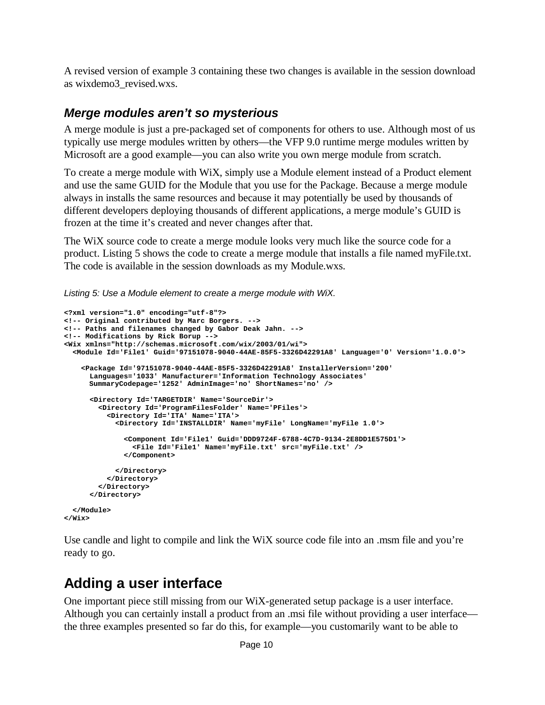A revised version of example 3 containing these two changes is available in the session download as wixdemo3\_revised.wxs.

### *Merge modules aren't so mysterious*

A merge module is just a pre-packaged set of components for others to use. Although most of us typically use merge modules written by others—the VFP 9.0 runtime merge modules written by Microsoft are a good example—you can also write you own merge module from scratch.

To create a merge module with WiX, simply use a Module element instead of a Product element and use the same GUID for the Module that you use for the Package. Because a merge module always in installs the same resources and because it may potentially be used by thousands of different developers deploying thousands of different applications, a merge module's GUID is frozen at the time it's created and never changes after that.

The WiX source code to create a merge module looks very much like the source code for a product. Listing 5 shows the code to create a merge module that installs a file named myFile.txt. The code is available in the session downloads as my Module.wxs.

*Listing 5: Use a Module element to create a merge module with WiX.*

```
<?xml version="1.0" encoding="utf-8"?>
<!-- Original contributed by Marc Borgers. -->
<!-- Paths and filenames changed by Gabor Deak Jahn. -->
<!-- Modifications by Rick Borup -->
<Wix xmlns="http://schemas.microsoft.com/wix/2003/01/wi">
  <Module Id='File1' Guid='97151078-9040-44AE-85F5-3326D42291A8' Language='0' Version='1.0.0'>
    <Package Id='97151078-9040-44AE-85F5-3326D42291A8' InstallerVersion='200'
     Languages='1033' Manufacturer='Information Technology Associates'
     SummaryCodepage='1252' AdminImage='no' ShortNames='no' />
      <Directory Id='TARGETDIR' Name='SourceDir'>
        <Directory Id='ProgramFilesFolder' Name='PFiles'>
         <Directory Id='ITA' Name='ITA'>
            <Directory Id='INSTALLDIR' Name='myFile' LongName='myFile 1.0'>
              <Component Id='File1' Guid='DDD9724F-6788-4C7D-9134-2E8DD1E575D1'>
                <File Id='File1' Name='myFile.txt' src='myFile.txt' />
              </Component>
           </Directory>
         </Directory>
        </Directory>
      </Directory>
  </Module>
</Wix>
```
Use candle and light to compile and link the WiX source code file into an .msm file and you're ready to go.

# **Adding a user interface**

One important piece still missing from our WiX-generated setup package is a user interface. Although you can certainly install a product from an .msi file without providing a user interface the three examples presented so far do this, for example—you customarily want to be able to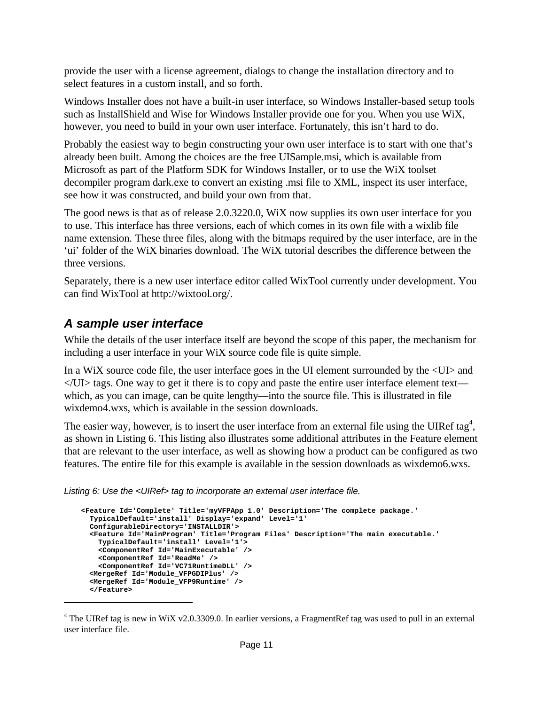provide the user with a license agreement, dialogs to change the installation directory and to select features in a custom install, and so forth.

Windows Installer does not have a built-in user interface, so Windows Installer-based setup tools such as InstallShield and Wise for Windows Installer provide one for you. When you use WiX, however, you need to build in your own user interface. Fortunately, this isn't hard to do.

Probably the easiest way to begin constructing your own user interface is to start with one that's already been built. Among the choices are the free UISample.msi, which is available from Microsoft as part of the Platform SDK for Windows Installer, or to use the WiX toolset decompiler program dark.exe to convert an existing .msi file to XML, inspect its user interface, see how it was constructed, and build your own from that.

The good news is that as of release 2.0.3220.0, WiX now supplies its own user interface for you to use. This interface has three versions, each of which comes in its own file with a wixlib file name extension. These three files, along with the bitmaps required by the user interface, are in the 'ui' folder of the WiX binaries download. The WiX tutorial describes the difference between the three versions.

Separately, there is a new user interface editor called WixTool currently under development. You can find WixTool at http://wixtool.org/.

### *A sample user interface*

While the details of the user interface itself are beyond the scope of this paper, the mechanism for including a user interface in your WiX source code file is quite simple.

In a WiX source code file, the user interface goes in the UI element surrounded by the  $\langle$ UI $>$  and  $\langle$ UI $>$  tags. One way to get it there is to copy and paste the entire user interface element text which, as you can image, can be quite lengthy—into the source file. This is illustrated in file wixdemo4.wxs, which is available in the session downloads.

The easier way, however, is to insert the user interface from an external file using the UIRef tag<sup>4</sup>, as shown in Listing 6. This listing also illustrates some additional attributes in the Feature element that are relevant to the user interface, as well as showing how a product can be configured as two features. The entire file for this example is available in the session downloads as wixdemo6.wxs.

*Listing 6: Use the <UIRef> tag to incorporate an external user interface file.*

```
<Feature Id='Complete' Title='myVFPApp 1.0' Description='The complete package.'
 TypicalDefault='install' Display='expand' Level='1'
 ConfigurableDirectory='INSTALLDIR'>
 <Feature Id='MainProgram' Title='Program Files' Description='The main executable.'
   TypicalDefault='install' Level='1'>
   <ComponentRef Id='MainExecutable' />
   <ComponentRef Id='ReadMe' />
   <ComponentRef Id='VC71RuntimeDLL' />
 <MergeRef Id='Module_VFPGDIPlus' />
 <MergeRef Id='Module_VFP9Runtime' />
 </Feature>
```
<sup>&</sup>lt;sup>4</sup> The UIRef tag is new in WiX v2.0.3309.0. In earlier versions, a FragmentRef tag was used to pull in an external user interface file.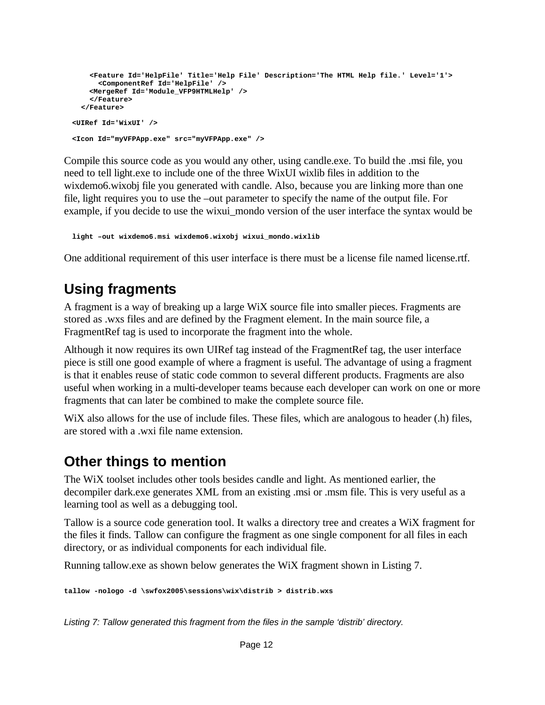```
<Feature Id='HelpFile' Title='Help File' Description='The HTML Help file.' Level='1'>
      <ComponentRef Id='HelpFile' />
    <MergeRef Id='Module_VFP9HTMLHelp' />
    </Feature>
  </Feature>
<UIRef Id='WixUI' />
<Icon Id="myVFPApp.exe" src="myVFPApp.exe" />
```
Compile this source code as you would any other, using candle.exe. To build the .msi file, you need to tell light.exe to include one of the three WixUI wixlib files in addition to the wixdemo6.wixobj file you generated with candle. Also, because you are linking more than one file, light requires you to use the –out parameter to specify the name of the output file. For example, if you decide to use the wixui mondo version of the user interface the syntax would be

**light –out wixdemo6.msi wixdemo6.wixobj wixui\_mondo.wixlib**

One additional requirement of this user interface is there must be a license file named license.rtf.

# **Using fragments**

A fragment is a way of breaking up a large WiX source file into smaller pieces. Fragments are stored as .wxs files and are defined by the Fragment element. In the main source file, a FragmentRef tag is used to incorporate the fragment into the whole.

Although it now requires its own UIRef tag instead of the FragmentRef tag, the user interface piece is still one good example of where a fragment is useful. The advantage of using a fragment is that it enables reuse of static code common to several different products. Fragments are also useful when working in a multi-developer teams because each developer can work on one or more fragments that can later be combined to make the complete source file.

WiX also allows for the use of include files. These files, which are analogous to header (.h) files, are stored with a .wxi file name extension.

# **Other things to mention**

The WiX toolset includes other tools besides candle and light. As mentioned earlier, the decompiler dark.exe generates XML from an existing .msi or .msm file. This is very useful as a learning tool as well as a debugging tool.

Tallow is a source code generation tool. It walks a directory tree and creates a WiX fragment for the files it finds. Tallow can configure the fragment as one single component for all files in each directory, or as individual components for each individual file.

Running tallow.exe as shown below generates the WiX fragment shown in Listing 7.

```
tallow -nologo -d \swfox2005\sessions\wix\distrib > distrib.wxs
```
*Listing 7: Tallow generated this fragment from the files in the sample 'distrib' directory.*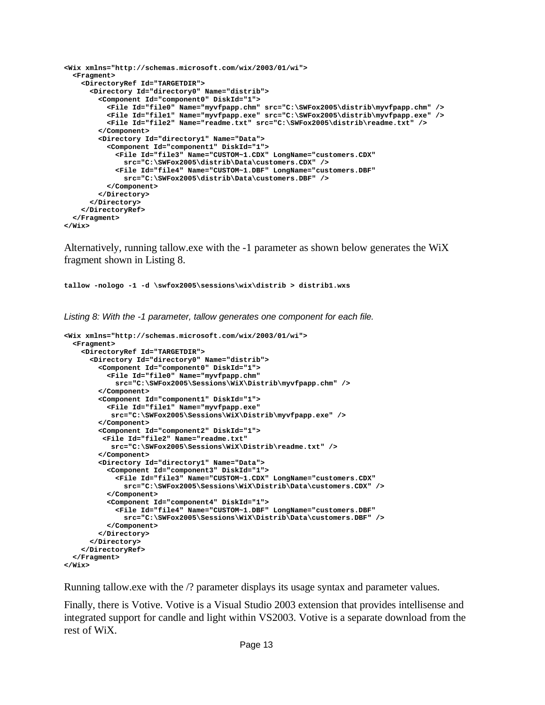```
<Wix xmlns="http://schemas.microsoft.com/wix/2003/01/wi">
 <Fragment>
   <DirectoryRef Id="TARGETDIR">
     <Directory Id="directory0" Name="distrib">
        <Component Id="component0" DiskId="1">
          <File Id="file0" Name="myvfpapp.chm" src="C:\SWFox2005\distrib\myvfpapp.chm" />
          <File Id="file1" Name="myvfpapp.exe" src="C:\SWFox2005\distrib\myvfpapp.exe" />
          <File Id="file2" Name="readme.txt" src="C:\SWFox2005\distrib\readme.txt" />
        </Component>
       <Directory Id="directory1" Name="Data">
          <Component Id="component1" DiskId="1">
            <File Id="file3" Name="CUSTOM~1.CDX" LongName="customers.CDX" 
             src="C:\SWFox2005\distrib\Data\customers.CDX" />
           <File Id="file4" Name="CUSTOM~1.DBF" LongName="customers.DBF" 
             src="C:\SWFox2005\distrib\Data\customers.DBF" />
         </Component>
       </Directory>
      </Directory>
   </DirectoryRef>
 </Fragment>
</Wix>
```
Alternatively, running tallow.exe with the -1 parameter as shown below generates the WiX fragment shown in Listing 8.

**tallow -nologo -1 -d \swfox2005\sessions\wix\distrib > distrib1.wxs**

*Listing 8: With the -1 parameter, tallow generates one component for each file.*

```
<Wix xmlns="http://schemas.microsoft.com/wix/2003/01/wi">
  <Fragment>
    <DirectoryRef Id="TARGETDIR">
      <Directory Id="directory0" Name="distrib">
        <Component Id="component0" DiskId="1">
          <File Id="file0" Name="myvfpapp.chm" 
            src="C:\SWFox2005\Sessions\WiX\Distrib\myvfpapp.chm" />
        </Component>
        <Component Id="component1" DiskId="1">
          <File Id="file1" Name="myvfpapp.exe"
           src="C:\SWFox2005\Sessions\WiX\Distrib\myvfpapp.exe" />
        </Component>
        <Component Id="component2" DiskId="1">
         <File Id="file2" Name="readme.txt" 
           src="C:\SWFox2005\Sessions\WiX\Distrib\readme.txt" />
        </Component>
        <Directory Id="directory1" Name="Data">
          <Component Id="component3" DiskId="1">
            <File Id="file3" Name="CUSTOM~1.CDX" LongName="customers.CDX" 
             src="C:\SWFox2005\Sessions\WiX\Distrib\Data\customers.CDX" />
          </Component>
          <Component Id="component4" DiskId="1">
            <File Id="file4" Name="CUSTOM~1.DBF" LongName="customers.DBF" 
              src="C:\SWFox2005\Sessions\WiX\Distrib\Data\customers.DBF" />
          </Component>
        </Directory>
      </Directory>
    </DirectoryRef>
  </Fragment>
</Wix>
```
Running tallow.exe with the /? parameter displays its usage syntax and parameter values.

Finally, there is Votive. Votive is a Visual Studio 2003 extension that provides intellisense and integrated support for candle and light within VS2003. Votive is a separate download from the rest of WiX.